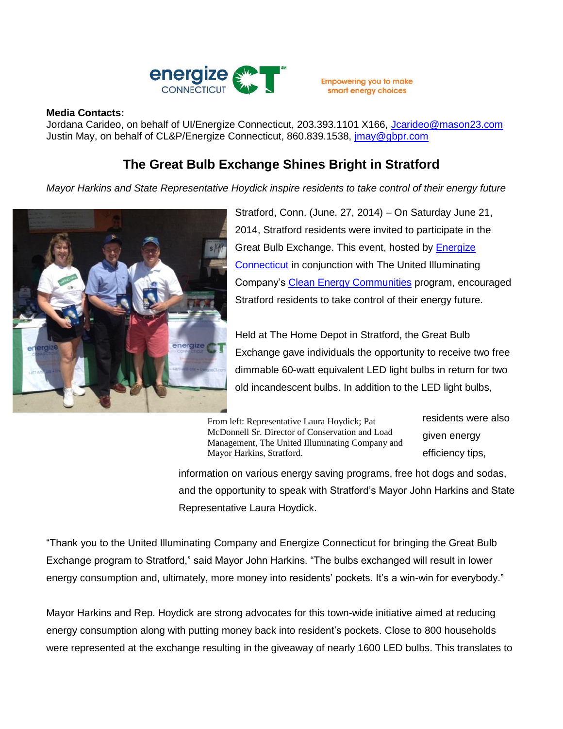

**Empowering you to make** smart energy choices

## **Media Contacts:**

Jordana Carideo, on behalf of UI/Energize Connecticut, 203.393.1101 X166, [Jcarideo@mason23.com](mailto:Jcarideo@mason23.com) Justin May, on behalf of CL&P/Energize Connecticut, 860.839.1538, *jmay@gbpr.com* 

## **The Great Bulb Exchange Shines Bright in Stratford**

*Mayor Harkins and State Representative Hoydick inspire residents to take control of their energy future*



Stratford, Conn. (June. 27, 2014) – On Saturday June 21, 2014, Stratford residents were invited to participate in the Great Bulb Exchange. This event, hosted by [Energize](http://www.energizect.com/)  [Connecticut](http://www.energizect.com/) in conjunction with The United Illuminating Company's [Clean Energy Communities](http://www.energizect.com/communities/) program, encouraged Stratford residents to take control of their energy future.

Held at The Home Depot in Stratford, the Great Bulb Exchange gave individuals the opportunity to receive two free dimmable 60-watt equivalent LED light bulbs in return for two old incandescent bulbs. In addition to the LED light bulbs,

From left: Representative Laura Hoydick; Pat McDonnell Sr. Director of Conservation and Load Management, The United Illuminating Company and Mayor Harkins, Stratford.

residents were also given energy efficiency tips,

information on various energy saving programs, free hot dogs and sodas, and the opportunity to speak with Stratford's Mayor John Harkins and State Representative Laura Hoydick.

"Thank you to the United Illuminating Company and Energize Connecticut for bringing the Great Bulb Exchange program to Stratford," said Mayor John Harkins. "The bulbs exchanged will result in lower energy consumption and, ultimately, more money into residents' pockets. It's a win-win for everybody."

Mayor Harkins and Rep. Hoydick are strong advocates for this town-wide initiative aimed at reducing energy consumption along with putting money back into resident's pockets. Close to 800 households were represented at the exchange resulting in the giveaway of nearly 1600 LED bulbs. This translates to